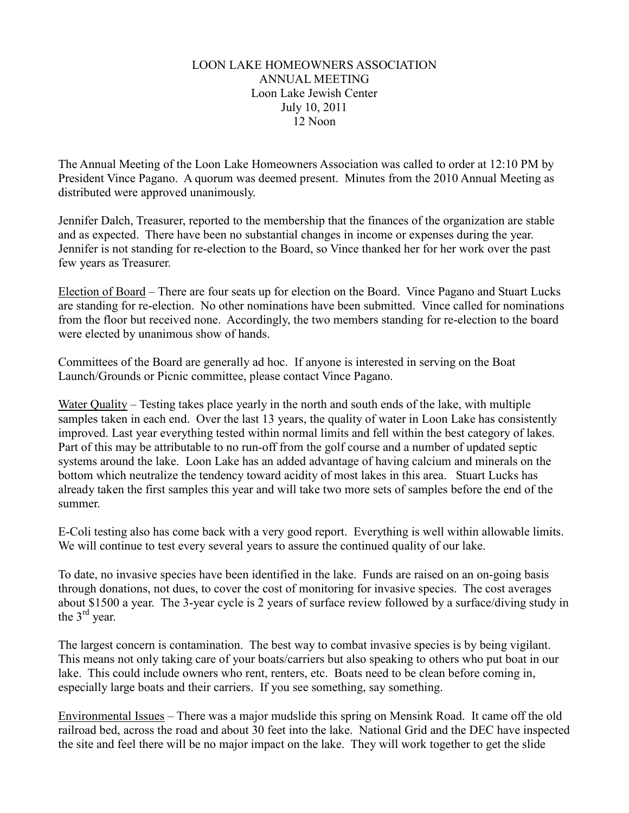## **LOON LAKE HOMEOWNERS ASSOCIATION ANNUAL MEETING** Loon Lake Jewish Center July 10, 2011  $12$  Noon

The Annual Meeting of the Loon Lake Homeowners Association was called to order at 12:10 PM by President Vince Pagano. A quorum was deemed present. Minutes from the 2010 Annual Meeting as distributed were approved unanimously.

Jennifer Dalch, Treasurer, reported to the membership that the finances of the organization are stable and as expected. There have been no substantial changes in income or expenses during the year. Jennifer is not standing for re-election to the Board, so Vince thanked her for her work over the past few years as Treasurer.

Election of Board – There are four seats up for election on the Board. Vince Pagano and Stuart Lucks are standing for re-election. No other nominations have been submitted. Vince called for nominations from the floor but received none. Accordingly, the two members standing for re-election to the board were elected by unanimous show of hands.

Committees of the Board are generally ad hoc. If anyone is interested in serving on the Boat Launch/Grounds or Picnic committee, please contact Vince Pagano.

Water Quality – Testing takes place yearly in the north and south ends of the lake, with multiple samples taken in each end. Over the last 13 years, the quality of water in Loon Lake has consistently improved. Last year everything tested within normal limits and fell within the best category of lakes. Part of this may be attributable to no run-off from the golf course and a number of updated septic systems around the lake. Loon Lake has an added advantage of having calcium and minerals on the bottom which neutralize the tendency toward acidity of most lakes in this area. Stuart Lucks has already taken the first samples this year and will take two more sets of samples before the end of the summer.

E-Coli testing also has come back with a very good report. Everything is well within allowable limits. We will continue to test every several years to assure the continued quality of our lake.

To date, no invasive species have been identified in the lake. Funds are raised on an on-going basis through donations, not dues, to cover the cost of monitoring for invasive species. The cost averages about \$1500 a year. The 3-year cycle is 2 years of surface review followed by a surface/diving study in the  $3<sup>rd</sup>$  year.

The largest concern is contamination. The best way to combat invasive species is by being vigilant. This means not only taking care of your boats/carriers but also speaking to others who put boat in our lake. This could include owners who rent, renters, etc. Boats need to be clean before coming in, especially large boats and their carriers. If you see something, say something.

<u>Environmental Issues</u> – There was a major mudslide this spring on Mensink Road. It came off the old railroad bed, across the road and about 30 feet into the lake. National Grid and the DEC have inspected the site and feel there will be no major impact on the lake. They will work together to get the slide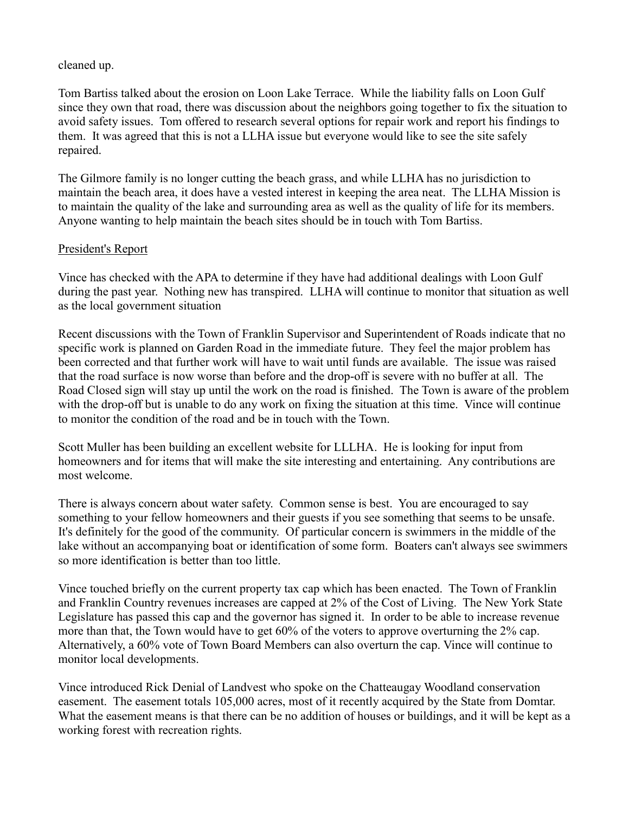## cleaned up.

Tom Bartiss talked about the erosion on Loon Lake Terrace. While the liability falls on Loon Gulf since they own that road, there was discussion about the neighbors going together to fix the situation to avoid safety issues. Tom offered to research several options for repair work and report his findings to them. It was agreed that this is not a LLHA issue but everyone would like to see the site safely repaired.

The Gilmore family is no longer cutting the beach grass, and while LLHA has no jurisdiction to maintain the beach area, it does have a vested interest in keeping the area neat. The LLHA Mission is to maintain the quality of the lake and surrounding area as well as the quality of life for its members. Anyone wanting to help maintain the beach sites should be in touch with Tom Bartiss.

## President's Report

Vince has checked with the APA to determine if they have had additional dealings with Loon Gulf during the past year. Nothing new has transpired. LLHA will continue to monitor that situation as well as the local government situation

Recent discussions with the Town of Franklin Supervisor and Superintendent of Roads indicate that no specific work is planned on Garden Road in the immediate future. They feel the major problem has been corrected and that further work will have to wait until funds are available. The issue was raised that the road surface is now worse than before and the drop-off is severe with no buffer at all. The Road Closed sign will stay up until the work on the road is finished. The Town is aware of the problem with the drop-off but is unable to do any work on fixing the situation at this time. Vince will continue to monitor the condition of the road and be in touch with the Town.

Scott Muller has been building an excellent website for LLLHA. He is looking for input from homeowners and for items that will make the site interesting and entertaining. Any contributions are most welcome.

There is always concern about water safety. Common sense is best. You are encouraged to say something to your fellow homeowners and their guests if you see something that seems to be unsafe. It's definitely for the good of the community. Of particular concern is swimmers in the middle of the lake without an accompanying boat or identification of some form. Boaters can't always see swimmers so more identification is better than too little.

Vince touched briefly on the current property tax cap which has been enacted. The Town of Franklin and Franklin Country revenues increases are capped at 2% of the Cost of Living. The New York State Legislature has passed this cap and the governor has signed it. In order to be able to increase revenue more than that, the Town would have to get 60% of the voters to approve overturning the 2% cap. Alternatively, a 60% vote of Town Board Members can also overturn the cap. Vince will continue to monitor local developments.

Vince introduced Rick Denial of Landvest who spoke on the Chatteaugay Woodland conservation e asement. The easement totals 105,000 acres, most of it recently acquired by the State from Domtar. What the easement means is that there can be no addition of houses or buildings, and it will be kept as a working forest with recreation rights.